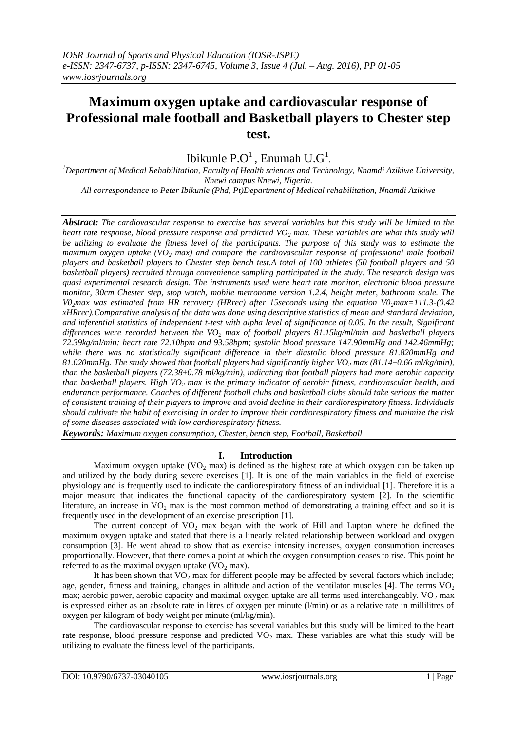# **Maximum oxygen uptake and cardiovascular response of Professional male football and Basketball players to Chester step test.**

Ibikunle  $P.O^1$ , Enumah  $U.G^1$ .

*<sup>1</sup>Department of Medical Rehabilitation, Faculty of Health sciences and Technology, Nnamdi Azikiwe University, Nnewi campus Nnewi, Nigeria.*

*All correspondence to Peter Ibikunle (Phd, Pt)Department of Medical rehabilitation, Nnamdi Azikiwe* 

*Abstract: The cardiovascular response to exercise has several variables but this study will be limited to the heart rate response, blood pressure response and predicted VO<sup>2</sup> max. These variables are what this study will be utilizing to evaluate the fitness level of the participants. The purpose of this study was to estimate the maximum oxygen uptake (VO<sup>2</sup> max) and compare the cardiovascular response of professional male football players and basketball players to Chester step bench test.A total of 100 athletes (50 football players and 50 basketball players) recruited through convenience sampling participated in the study. The research design was quasi experimental research design. The instruments used were heart rate monitor, electronic blood pressure monitor, 30cm Chester step, stop watch, mobile metronome version 1.2.4, height meter, bathroom scale. The V02max was estimated from HR recovery (HRrec) after 15seconds using the equation V02max=111.3-(0.42 xHRrec).Comparative analysis of the data was done using descriptive statistics of mean and standard deviation, and inferential statistics of independent t-test with alpha level of significance of 0.05. In the result, Significant differences were recorded between the VO<sup>2</sup> max of football players 81.15kg/ml/min and basketball players 72.39kg/ml/min; heart rate 72.10bpm and 93.58bpm; systolic blood pressure 147.90mmHg and 142.46mmHg; while there was no statistically significant difference in their diastolic blood pressure 81.820mmHg and 81.020mmHg. The study showed that football players had significantly higher VO<sup>2</sup> max (81.14±0.66 ml/kg/min), than the basketball players (72.38±0.78 ml/kg/min), indicating that football players had more aerobic capacity than basketball players. High VO<sup>2</sup> max is the primary indicator of aerobic fitness, cardiovascular health, and endurance performance. Coaches of different football clubs and basketball clubs should take serious the matter of consistent training of their players to improve and avoid decline in their cardiorespiratory fitness. Individuals should cultivate the habit of exercising in order to improve their cardiorespiratory fitness and minimize the risk of some diseases associated with low cardiorespiratory fitness.*

*Keywords: Maximum oxygen consumption, Chester, bench step, Football, Basketball*

# **I. Introduction**

Maximum oxygen uptake ( $VO<sub>2</sub>$  max) is defined as the highest rate at which oxygen can be taken up and utilized by the body during severe exercises [1]. It is one of the main variables in the field of exercise physiology and is frequently used to indicate the cardiorespiratory fitness of an individual [1]. Therefore it is a major measure that indicates the functional capacity of the cardiorespiratory system [2]. In the scientific literature, an increase in  $VO<sub>2</sub>$  max is the most common method of demonstrating a training effect and so it is frequently used in the development of an exercise prescription [1].

The current concept of  $VO<sub>2</sub>$  max began with the work of Hill and Lupton where he defined the maximum oxygen uptake and stated that there is a linearly related relationship between workload and oxygen consumption [3]. He went ahead to show that as exercise intensity increases, oxygen consumption increases proportionally. However, that there comes a point at which the oxygen consumption ceases to rise. This point he referred to as the maximal oxygen uptake  $(VO<sub>2</sub>$  max).

It has been shown that  $VO<sub>2</sub>$  max for different people may be affected by several factors which include; age, gender, fitness and training, changes in altitude and action of the ventilator muscles [4]. The terms  $VO<sub>2</sub>$ max; aerobic power, aerobic capacity and maximal oxygen uptake are all terms used interchangeably.  $VO<sub>2</sub>$  max is expressed either as an absolute rate in litres of oxygen per minute (l/min) or as a relative rate in millilitres of oxygen per kilogram of body weight per minute (ml/kg/min).

The cardiovascular response to exercise has several variables but this study will be limited to the heart rate response, blood pressure response and predicted  $VO<sub>2</sub>$  max. These variables are what this study will be utilizing to evaluate the fitness level of the participants.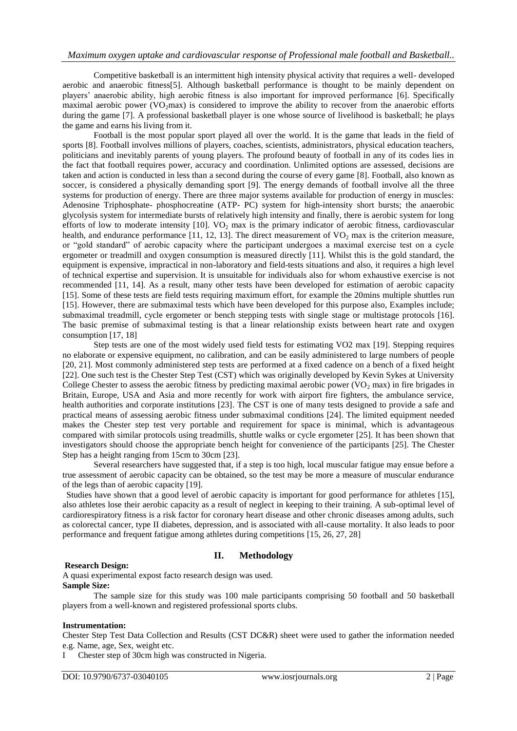Competitive basketball is an intermittent high intensity physical activity that requires a well- developed aerobic and anaerobic fitness[5]. Although basketball performance is thought to be mainly dependent on players" anaerobic ability, high aerobic fitness is also important for improved performance [6]. Specifically maximal aerobic power  $(VO_2$ max) is considered to improve the ability to recover from the anaerobic efforts during the game [7]. A professional basketball player is one whose source of livelihood is basketball; he plays the game and earns his living from it.

Football is the most popular sport played all over the world. It is the game that leads in the field of sports [8]. Football involves millions of players, coaches, scientists, administrators, physical education teachers, politicians and inevitably parents of young players. The profound beauty of football in any of its codes lies in the fact that football requires power, accuracy and coordination. Unlimited options are assessed, decisions are taken and action is conducted in less than a second during the course of every game [8]. Football, also known as soccer, is considered a physically demanding sport [9]. The energy demands of football involve all the three systems for production of energy. There are three major systems available for production of energy in muscles: Adenosine Triphosphate- phosphocreatine (ATP- PC) system for high-intensity short bursts; the anaerobic glycolysis system for intermediate bursts of relatively high intensity and finally, there is aerobic system for long efforts of low to moderate intensity  $[10]$ . VO<sub>2</sub> max is the primary indicator of aerobic fitness, cardiovascular health, and endurance performance [11, 12, 13]. The direct measurement of  $VO<sub>2</sub>$  max is the criterion measure, or "gold standard" of aerobic capacity where the participant undergoes a maximal exercise test on a cycle ergometer or treadmill and oxygen consumption is measured directly [11]. Whilst this is the gold standard, the equipment is expensive, impractical in non-laboratory and field-tests situations and also, it requires a high level of technical expertise and supervision. It is unsuitable for individuals also for whom exhaustive exercise is not recommended [11, 14]. As a result, many other tests have been developed for estimation of aerobic capacity [15]. Some of these tests are field tests requiring maximum effort, for example the 20mins multiple shuttles run [15]. However, there are submaximal tests which have been developed for this purpose also, Examples include; submaximal treadmill, cycle ergometer or bench stepping tests with single stage or multistage protocols [16]. The basic premise of submaximal testing is that a linear relationship exists between heart rate and oxygen consumption [17, 18]

Step tests are one of the most widely used field tests for estimating VO2 max [19]. Stepping requires no elaborate or expensive equipment, no calibration, and can be easily administered to large numbers of people [20, 21]. Most commonly administered step tests are performed at a fixed cadence on a bench of a fixed height [22]. One such test is the Chester Step Test (CST) which was originally developed by Kevin Sykes at University College Chester to assess the aerobic fitness by predicting maximal aerobic power (VO<sub>2</sub> max) in fire brigades in Britain, Europe, USA and Asia and more recently for work with airport fire fighters, the ambulance service, health authorities and corporate institutions [23]. The CST is one of many tests designed to provide a safe and practical means of assessing aerobic fitness under submaximal conditions [24]. The limited equipment needed makes the Chester step test very portable and requirement for space is minimal, which is advantageous compared with similar protocols using treadmills, shuttle walks or cycle ergometer [25]. It has been shown that investigators should choose the appropriate bench height for convenience of the participants [25]. The Chester Step has a height ranging from 15cm to 30cm [23].

Several researchers have suggested that, if a step is too high, local muscular fatigue may ensue before a true assessment of aerobic capacity can be obtained, so the test may be more a measure of muscular endurance of the legs than of aerobic capacity [19].

Studies have shown that a good level of aerobic capacity is important for good performance for athletes [15], also athletes lose their aerobic capacity as a result of neglect in keeping to their training. A sub-optimal level of cardiorespiratory fitness is a risk factor for coronary heart disease and other chronic diseases among adults, such as colorectal cancer, type II diabetes, depression, and is associated with all-cause mortality. It also leads to poor performance and frequent fatigue among athletes during competitions [15, 26, 27, 28]

# **II. Methodology**

## **Research Design:**

A quasi experimental expost facto research design was used. **Sample Size:**

The sample size for this study was 100 male participants comprising 50 football and 50 basketball players from a well-known and registered professional sports clubs.

## **Instrumentation:**

Chester Step Test Data Collection and Results (CST DC&R) sheet were used to gather the information needed e.g. Name, age, Sex, weight etc.

I Chester step of 30cm high was constructed in Nigeria.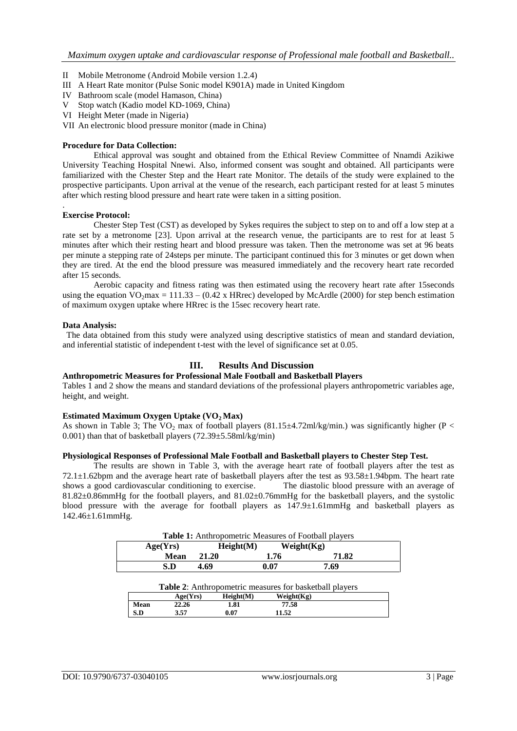- II Mobile Metronome (Android Mobile version 1.2.4)
- III A Heart Rate monitor (Pulse Sonic model K901A) made in United Kingdom
- IV Bathroom scale (model Hamason, China)
- V Stop watch (Kadio model KD-1069, China)
- VI Height Meter (made in Nigeria)
- VII An electronic blood pressure monitor (made in China)

#### **Procedure for Data Collection:**

Ethical approval was sought and obtained from the Ethical Review Committee of Nnamdi Azikiwe University Teaching Hospital Nnewi. Also, informed consent was sought and obtained. All participants were familiarized with the Chester Step and the Heart rate Monitor. The details of the study were explained to the prospective participants. Upon arrival at the venue of the research, each participant rested for at least 5 minutes after which resting blood pressure and heart rate were taken in a sitting position.

#### **Exercise Protocol:**

.

Chester Step Test (CST) as developed by Sykes requires the subject to step on to and off a low step at a rate set by a metronome [23]. Upon arrival at the research venue, the participants are to rest for at least 5 minutes after which their resting heart and blood pressure was taken. Then the metronome was set at 96 beats per minute a stepping rate of 24steps per minute. The participant continued this for 3 minutes or get down when they are tired. At the end the blood pressure was measured immediately and the recovery heart rate recorded after 15 seconds.

Aerobic capacity and fitness rating was then estimated using the recovery heart rate after 15seconds using the equation  $VO<sub>2</sub>max = 111.33 - (0.42 \times HRrec)$  developed by McArdle (2000) for step bench estimation of maximum oxygen uptake where HRrec is the 15sec recovery heart rate.

#### **Data Analysis:**

The data obtained from this study were analyzed using descriptive statistics of mean and standard deviation, and inferential statistic of independent t-test with the level of significance set at 0.05.

# **III. Results And Discussion**

#### **Anthropometric Measures for Professional Male Football and Basketball Players**

Tables 1 and 2 show the means and standard deviations of the professional players anthropometric variables age, height, and weight.

## **Estimated Maximum Oxygen Uptake (VO2 Max)**

As shown in Table 3; The VO<sub>2</sub> max of football players (81.15 $\pm$ 4.72ml/kg/min.) was significantly higher (P < 0.001) than that of basketball players (72.39±5.58ml/kg/min)

#### **Physiological Responses of Professional Male Football and Basketball players to Chester Step Test.**

The results are shown in Table 3, with the average heart rate of football players after the test as 72.1±1.62bpm and the average heart rate of basketball players after the test as 93.58±1.94bpm. The heart rate shows a good cardiovascular conditioning to exercise. The diastolic blood pressure with an average of 81.82±0.86mmHg for the football players, and 81.02±0.76mmHg for the basketball players, and the systolic blood pressure with the average for football players as 147.9±1.61mmHg and basketball players as 142.46±1.61mmHg.

|  | <b>Table 1:</b> Anthropometric Measures of Football players |
|--|-------------------------------------------------------------|
|--|-------------------------------------------------------------|

| Age(Yrs) | Height(M) | Weight(Kg) |       |
|----------|-----------|------------|-------|
| Mean     | 21.20     | 1.76       | 71.82 |
| S.D      | 4.69      | 0.07       | 7.69  |

| <b>Table 2:</b> Anthropometric measures for basketball players |          |           |            |  |
|----------------------------------------------------------------|----------|-----------|------------|--|
|                                                                | Age(Yrs) | Height(M) | Weight(Kg) |  |
| Mean                                                           | 22.26    | 1.81      | 77.58      |  |
| S.D                                                            | 3.57     | 0.07      | 11.52      |  |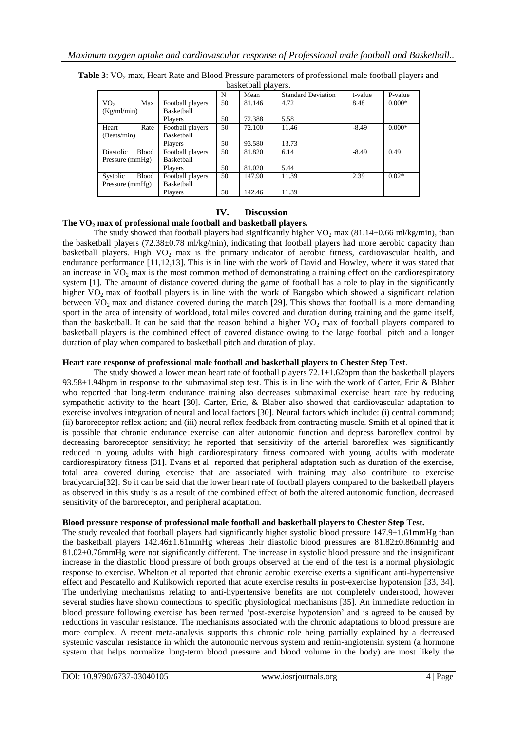| $\alpha$                  |                   |    |        |                           |         |          |  |
|---------------------------|-------------------|----|--------|---------------------------|---------|----------|--|
|                           |                   | N  | Mean   | <b>Standard Deviation</b> | t-value | P-value  |  |
| VO <sub>2</sub><br>Max    | Football players  | 50 | 81.146 | 4.72                      | 8.48    | $0.000*$ |  |
| (Kg/ml/min)               | <b>Basketball</b> |    |        |                           |         |          |  |
|                           | Players           | 50 | 72.388 | 5.58                      |         |          |  |
| Heart<br>Rate             | Football players  | 50 | 72.100 | 11.46                     | $-8.49$ | $0.000*$ |  |
| (Beats/min)               | <b>Basketball</b> |    |        |                           |         |          |  |
|                           | Players           | 50 | 93.580 | 13.73                     |         |          |  |
| Diastolic<br><b>Blood</b> | Football players  | 50 | 81.820 | 6.14                      | $-8.49$ | 0.49     |  |
| Pressure $(mmHg)$         | Basketball        |    |        |                           |         |          |  |
|                           | Players           | 50 | 81.020 | 5.44                      |         |          |  |
| <b>Blood</b><br>Systolic  | Football players  | 50 | 147.90 | 11.39                     | 2.39    | $0.02*$  |  |
| Pressure (mmHg)           | Basketball        |    |        |                           |         |          |  |
|                           | Players           | 50 | 142.46 | 11.39                     |         |          |  |

**Table 3**: VO<sub>2</sub> max, Heart Rate and Blood Pressure parameters of professional male football players and basketball players.

# **IV. Discussion**

# **The VO<sup>2</sup> max of professional male football and basketball players.**

The study showed that football players had significantly higher  $VO<sub>2</sub>$  max (81.14±0.66 ml/kg/min), than the basketball players (72.38±0.78 ml/kg/min), indicating that football players had more aerobic capacity than basketball players. High  $VO<sub>2</sub>$  max is the primary indicator of aerobic fitness, cardiovascular health, and endurance performance [11,12,13]. This is in line with the work of David and Howley, where it was stated that an increase in  $VO<sub>2</sub>$  max is the most common method of demonstrating a training effect on the cardiorespiratory system [1]. The amount of distance covered during the game of football has a role to play in the significantly higher VO<sub>2</sub> max of football players is in line with the work of Bangsbo which showed a significant relation between  $VO<sub>2</sub>$  max and distance covered during the match [29]. This shows that football is a more demanding sport in the area of intensity of workload, total miles covered and duration during training and the game itself, than the basketball. It can be said that the reason behind a higher  $VO<sub>2</sub>$  max of football players compared to basketball players is the combined effect of covered distance owing to the large football pitch and a longer duration of play when compared to basketball pitch and duration of play.

# **Heart rate response of professional male football and basketball players to Chester Step Test**.

The study showed a lower mean heart rate of football players  $72.1 \pm 1.62$  bpm than the basketball players 93.58±1.94bpm in response to the submaximal step test. This is in line with the work of Carter, Eric & Blaber who reported that long-term endurance training also decreases submaximal exercise heart rate by reducing sympathetic activity to the heart [30]. Carter, Eric, & Blaber also showed that cardiovascular adaptation to exercise involves integration of neural and local factors [30]. Neural factors which include: (i) central command; (ii) baroreceptor reflex action; and (iii) neural reflex feedback from contracting muscle. Smith et al opined that it is possible that chronic endurance exercise can alter autonomic function and depress baroreflex control by decreasing baroreceptor sensitivity; he reported that sensitivity of the arterial baroreflex was significantly reduced in young adults with high cardiorespiratory fitness compared with young adults with moderate cardiorespiratory fitness [31]. Evans et al reported that peripheral adaptation such as duration of the exercise, total area covered during exercise that are associated with training may also contribute to exercise bradycardia[32]. So it can be said that the lower heart rate of football players compared to the basketball players as observed in this study is as a result of the combined effect of both the altered autonomic function, decreased sensitivity of the baroreceptor, and peripheral adaptation.

# **Blood pressure response of professional male football and basketball players to Chester Step Test.**

The study revealed that football players had significantly higher systolic blood pressure  $147.9\pm1.61$ mmHg than the basketball players 142.46±1.61mmHg whereas their diastolic blood pressures are 81.82±0.86mmHg and 81.02±0.76mmHg were not significantly different. The increase in systolic blood pressure and the insignificant increase in the diastolic blood pressure of both groups observed at the end of the test is a normal physiologic response to exercise. Whelton et al reported that chronic aerobic exercise exerts a significant anti-hypertensive effect and Pescatello and Kulikowich reported that acute exercise results in post-exercise hypotension [33, 34]. The underlying mechanisms relating to anti-hypertensive benefits are not completely understood, however several studies have shown connections to specific physiological mechanisms [35]. An immediate reduction in blood pressure following exercise has been termed "post-exercise hypotension" and is agreed to be caused by reductions in vascular resistance. The mechanisms associated with the chronic adaptations to blood pressure are more complex. A recent meta-analysis supports this chronic role being partially explained by a decreased systemic vascular resistance in which the autonomic nervous system and renin-angiotensin system (a hormone system that helps normalize long-term blood pressure and blood volume in the body) are most likely the